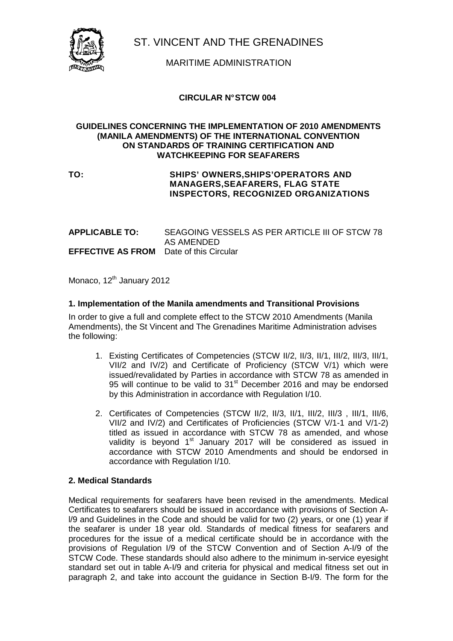

ST. VINCENT AND THE GRENADINES

MARITIME ADMINISTRATION

# **CIRCULAR N° STCW 004**

#### **GUIDELINES CONCERNING THE IMPLEMENTATION OF 2010 AMENDMENTS (MANILA AMENDMENTS) OF THE INTERNATIONAL CONVENTION ON STANDARDS OF TRAINING CERTIFICATION AND WATCHKEEPING FOR SEAFARERS**

## **TO: SHIPS' OWNERS,SHIPS'OPERATORS AND MANAGERS,SEAFARERS, FLAG STATE INSPECTORS, RECOGNIZED ORGANIZATIONS**

**APPLICABLE TO:** SEAGOING VESSELS AS PER ARTICLE III OF STCW 78 AS AMENDED **EFFECTIVE AS FROM** Date of this Circular

Monaco, 12<sup>th</sup> January 2012

# **1. Implementation of the Manila amendments and Transitional Provisions**

In order to give a full and complete effect to the STCW 2010 Amendments (Manila Amendments), the St Vincent and The Grenadines Maritime Administration advises the following:

- 1. Existing Certificates of Competencies (STCW II/2, II/3, II/1, III/2, III/3, III/1, VII/2 and IV/2) and Certificate of Proficiency (STCW V/1) which were issued/revalidated by Parties in accordance with STCW 78 as amended in 95 will continue to be valid to 31<sup>st</sup> December 2016 and may be endorsed by this Administration in accordance with Regulation I/10.
- 2. Certificates of Competencies (STCW II/2, II/3, II/1, III/2, III/3 , III/1, III/6, VII/2 and IV/2) and Certificates of Proficiencies (STCW V/1-1 and V/1-2) titled as issued in accordance with STCW 78 as amended, and whose validity is beyond 1<sup>st</sup> January 2017 will be considered as issued in accordance with STCW 2010 Amendments and should be endorsed in accordance with Regulation I/10.

## **2. Medical Standards**

Medical requirements for seafarers have been revised in the amendments. Medical Certificates to seafarers should be issued in accordance with provisions of Section Al/9 and Guidelines in the Code and should be valid for two (2) years, or one (1) year if the seafarer is under 18 year old. Standards of medical fitness for seafarers and procedures for the issue of a medical certificate should be in accordance with the provisions of Regulation I/9 of the STCW Convention and of Section A-I/9 of the STCW Code. These standards should also adhere to the minimum in-service eyesight standard set out in table A-I/9 and criteria for physical and medical fitness set out in paragraph 2, and take into account the guidance in Section B-I/9. The form for the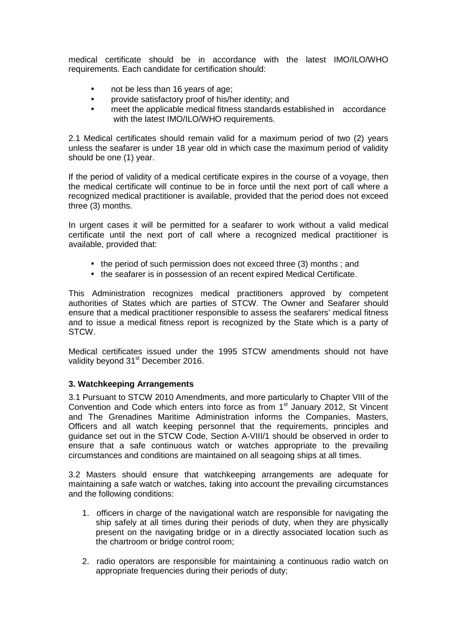medical certificate should be in accordance with the latest IMO/ILO/WHO requirements. Each candidate for certification should:

- not be less than 16 years of age;
- provide satisfactory proof of his/her identity; and
- meet the applicable medical fitness standards established in accordance with the latest IMO/ILO/WHO requirements.

2.1 Medical certificates should remain valid for a maximum period of two (2) years unless the seafarer is under 18 year old in which case the maximum period of validity should be one (1) year.

If the period of validity of a medical certificate expires in the course of a voyage, then the medical certificate will continue to be in force until the next port of call where a recognized medical practitioner is available, provided that the period does not exceed three (3) months.

In urgent cases it will be permitted for a seafarer to work without a valid medical certificate until the next port of call where a recognized medical practitioner is available, provided that:

- the period of such permission does not exceed three (3) months ; and
- the seafarer is in possession of an recent expired Medical Certificate.

This Administration recognizes medical practitioners approved by competent authorities of States which are parties of STCW. The Owner and Seafarer should ensure that a medical practitioner responsible to assess the seafarers' medical fitness and to issue a medical fitness report is recognized by the State which is a party of STCW.

Medical certificates issued under the 1995 STCW amendments should not have validity beyond 31<sup>st</sup> December 2016.

## **3. Watchkeeping Arrangements**

3.1 Pursuant to STCW 2010 Amendments, and more particularly to Chapter VIII of the Convention and Code which enters into force as from  $1<sup>st</sup>$  January 2012, St Vincent and The Grenadines Maritime Administration informs the Companies, Masters, Officers and all watch keeping personnel that the requirements, principles and guidance set out in the STCW Code, Section A-VIII/1 should be observed in order to ensure that a safe continuous watch or watches appropriate to the prevailing circumstances and conditions are maintained on all seagoing ships at all times.

3.2 Masters should ensure that watchkeeping arrangements are adequate for maintaining a safe watch or watches, taking into account the prevailing circumstances and the following conditions:

- 1. officers in charge of the navigational watch are responsible for navigating the ship safely at all times during their periods of duty, when they are physically present on the navigating bridge or in a directly associated location such as the chartroom or bridge control room;
- 2. radio operators are responsible for maintaining a continuous radio watch on appropriate frequencies during their periods of duty;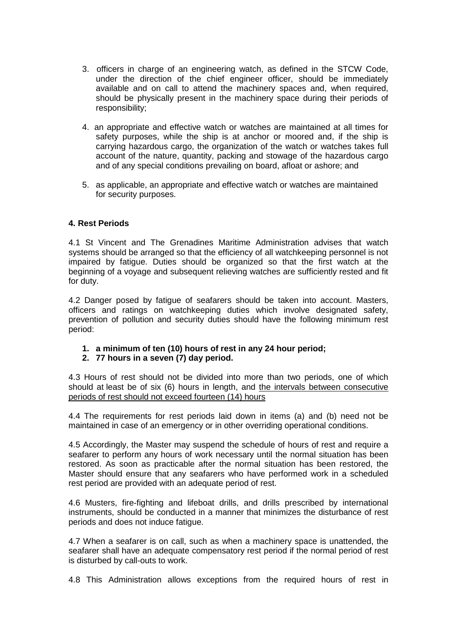- 3. officers in charge of an engineering watch, as defined in the STCW Code, under the direction of the chief engineer officer, should be immediately available and on call to attend the machinery spaces and, when required, should be physically present in the machinery space during their periods of responsibility;
- 4. an appropriate and effective watch or watches are maintained at all times for safety purposes, while the ship is at anchor or moored and, if the ship is carrying hazardous cargo, the organization of the watch or watches takes full account of the nature, quantity, packing and stowage of the hazardous cargo and of any special conditions prevailing on board, afloat or ashore; and
- 5. as applicable, an appropriate and effective watch or watches are maintained for security purposes.

# **4. Rest Periods**

4.1 St Vincent and The Grenadines Maritime Administration advises that watch systems should be arranged so that the efficiency of all watchkeeping personnel is not impaired by fatigue. Duties should be organized so that the first watch at the beginning of a voyage and subsequent relieving watches are sufficiently rested and fit for duty.

4.2 Danger posed by fatigue of seafarers should be taken into account. Masters, officers and ratings on watchkeeping duties which involve designated safety, prevention of pollution and security duties should have the following minimum rest period:

## **1. a minimum of ten (10) hours of rest in any 24 hour period;**

## **2. 77 hours in a seven (7) day period.**

4.3 Hours of rest should not be divided into more than two periods, one of which should at least be of six (6) hours in length, and the intervals between consecutive periods of rest should not exceed fourteen (14) hours

4.4 The requirements for rest periods laid down in items (a) and (b) need not be maintained in case of an emergency or in other overriding operational conditions.

4.5 Accordingly, the Master may suspend the schedule of hours of rest and require a seafarer to perform any hours of work necessary until the normal situation has been restored. As soon as practicable after the normal situation has been restored, the Master should ensure that any seafarers who have performed work in a scheduled rest period are provided with an adequate period of rest.

4.6 Musters, fire-fighting and lifeboat drills, and drills prescribed by international instruments, should be conducted in a manner that minimizes the disturbance of rest periods and does not induce fatigue.

4.7 When a seafarer is on call, such as when a machinery space is unattended, the seafarer shall have an adequate compensatory rest period if the normal period of rest is disturbed by call-outs to work.

4.8 This Administration allows exceptions from the required hours of rest in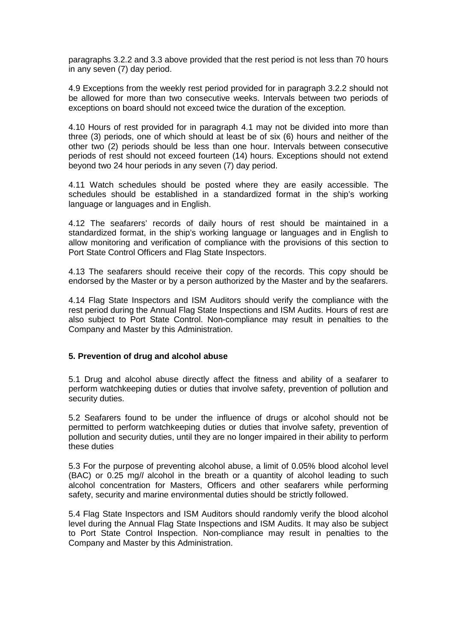paragraphs 3.2.2 and 3.3 above provided that the rest period is not less than 70 hours in any seven (7) day period.

4.9 Exceptions from the weekly rest period provided for in paragraph 3.2.2 should not be allowed for more than two consecutive weeks. Intervals between two periods of exceptions on board should not exceed twice the duration of the exception.

4.10 Hours of rest provided for in paragraph 4.1 may not be divided into more than three (3) periods, one of which should at least be of six (6) hours and neither of the other two (2) periods should be less than one hour. Intervals between consecutive periods of rest should not exceed fourteen (14) hours. Exceptions should not extend beyond two 24 hour periods in any seven (7) day period.

4.11 Watch schedules should be posted where they are easily accessible. The schedules should be established in a standardized format in the ship's working language or languages and in English.

4.12 The seafarers' records of daily hours of rest should be maintained in a standardized format, in the ship's working language or languages and in English to allow monitoring and verification of compliance with the provisions of this section to Port State Control Officers and Flag State Inspectors.

4.13 The seafarers should receive their copy of the records. This copy should be endorsed by the Master or by a person authorized by the Master and by the seafarers.

4.14 Flag State Inspectors and ISM Auditors should verify the compliance with the rest period during the Annual Flag State Inspections and ISM Audits. Hours of rest are also subject to Port State Control. Non-compliance may result in penalties to the Company and Master by this Administration.

#### **5. Prevention of drug and alcohol abuse**

5.1 Drug and alcohol abuse directly affect the fitness and ability of a seafarer to perform watchkeeping duties or duties that involve safety, prevention of pollution and security duties.

5.2 Seafarers found to be under the influence of drugs or alcohol should not be permitted to perform watchkeeping duties or duties that involve safety, prevention of pollution and security duties, until they are no longer impaired in their ability to perform these duties

5.3 For the purpose of preventing alcohol abuse, a limit of 0.05% blood alcohol level (BAC) or 0.25 mg/l alcohol in the breath or a quantity of alcohol leading to such alcohol concentration for Masters, Officers and other seafarers while performing safety, security and marine environmental duties should be strictly followed.

5.4 Flag State Inspectors and ISM Auditors should randomly verify the blood alcohol level during the Annual Flag State Inspections and ISM Audits. It may also be subject to Port State Control Inspection. Non-compliance may result in penalties to the Company and Master by this Administration.